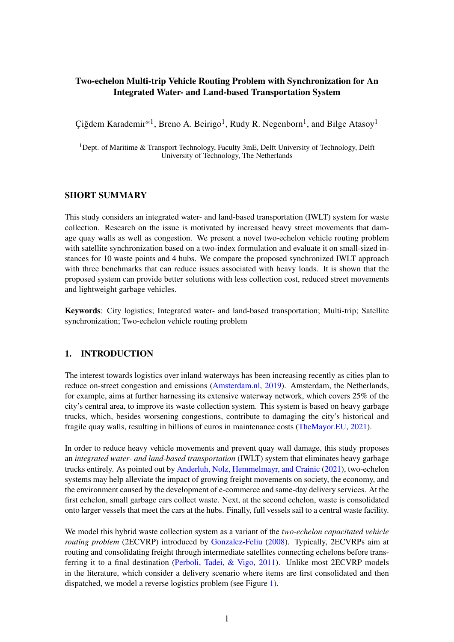## Two-echelon Multi-trip Vehicle Routing Problem with Synchronization for An Integrated Water- and Land-based Transportation System

Çiğdem Karademir\*<sup>1</sup>, Breno A. Beirigo<sup>1</sup>, Rudy R. Negenborn<sup>1</sup>, and Bilge Atasoy<sup>1</sup>

<sup>1</sup>Dept. of Maritime  $\&$  Transport Technology, Faculty 3mE, Delft University of Technology, Delft University of Technology, The Netherlands

## SHORT SUMMARY

This study considers an integrated water- and land-based transportation (IWLT) system for waste collection. Research on the issue is motivated by increased heavy street movements that damage quay walls as well as congestion. We present a novel two-echelon vehicle routing problem with satellite synchronization based on a two-index formulation and evaluate it on small-sized instances for 10 waste points and 4 hubs. We compare the proposed synchronized IWLT approach with three benchmarks that can reduce issues associated with heavy loads. It is shown that the proposed system can provide better solutions with less collection cost, reduced street movements and lightweight garbage vehicles.

Keywords: City logistics; Integrated water- and land-based transportation; Multi-trip; Satellite synchronization; Two-echelon vehicle routing problem

## 1. INTRODUCTION

The interest towards logistics over inland waterways has been increasing recently as cities plan to reduce on-street congestion and emissions [\(Amsterdam.nl,](#page-8-0) [2019\)](#page-8-0). Amsterdam, the Netherlands, for example, aims at further harnessing its extensive waterway network, which covers 25% of the city's central area, to improve its waste collection system. This system is based on heavy garbage trucks, which, besides worsening congestions, contribute to damaging the city's historical and fragile quay walls, resulting in billions of euros in maintenance costs [\(TheMayor.EU,](#page-8-1) [2021\)](#page-8-1).

In order to reduce heavy vehicle movements and prevent quay wall damage, this study proposes an *integrated water- and land-based transportation* (IWLT) system that eliminates heavy garbage trucks entirely. As pointed out by [Anderluh, Nolz, Hemmelmayr, and Crainic](#page-8-2) [\(2021\)](#page-8-2), two-echelon systems may help alleviate the impact of growing freight movements on society, the economy, and the environment caused by the development of e-commerce and same-day delivery services. At the first echelon, small garbage cars collect waste. Next, at the second echelon, waste is consolidated onto larger vessels that meet the cars at the hubs. Finally, full vessels sail to a central waste facility.

We model this hybrid waste collection system as a variant of the *two-echelon capacitated vehicle routing problem* (2ECVRP) introduced by [Gonzalez-Feliu](#page-8-3) [\(2008\)](#page-8-3). Typically, 2ECVRPs aim at routing and consolidating freight through intermediate satellites connecting echelons before transferring it to a final destination [\(Perboli, Tadei, & Vigo,](#page-8-4) [2011\)](#page-8-4). Unlike most 2ECVRP models in the literature, which consider a delivery scenario where items are first consolidated and then dispatched, we model a reverse logistics problem (see Figure [1\)](#page-1-0).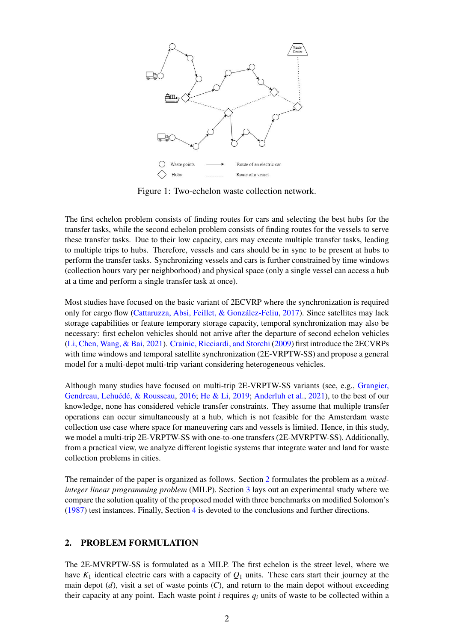<span id="page-1-0"></span>

Figure 1: Two-echelon waste collection network.

The first echelon problem consists of finding routes for cars and selecting the best hubs for the transfer tasks, while the second echelon problem consists of finding routes for the vessels to serve these transfer tasks. Due to their low capacity, cars may execute multiple transfer tasks, leading to multiple trips to hubs. Therefore, vessels and cars should be in sync to be present at hubs to perform the transfer tasks. Synchronizing vessels and cars is further constrained by time windows (collection hours vary per neighborhood) and physical space (only a single vessel can access a hub at a time and perform a single transfer task at once).

Most studies have focused on the basic variant of 2ECVRP where the synchronization is required only for cargo flow [\(Cattaruzza, Absi, Feillet, & González-Feliu,](#page-8-5) [2017\)](#page-8-5). Since satellites may lack storage capabilities or feature temporary storage capacity, temporal synchronization may also be necessary: first echelon vehicles should not arrive after the departure of second echelon vehicles [\(Li, Chen, Wang, & Bai,](#page-8-6) [2021\)](#page-8-6). [Crainic, Ricciardi, and Storchi](#page-8-7) [\(2009\)](#page-8-7) first introduce the 2ECVRPs with time windows and temporal satellite synchronization (2E-VRPTW-SS) and propose a general model for a multi-depot multi-trip variant considering heterogeneous vehicles.

Although many studies have focused on multi-trip 2E-VRPTW-SS variants (see, e.g., [Grangier,](#page-8-8) [Gendreau, Lehuédé, & Rousseau,](#page-8-8) [2016;](#page-8-8) [He & Li,](#page-8-9) [2019;](#page-8-9) [Anderluh et al.,](#page-8-2) [2021\)](#page-8-2), to the best of our knowledge, none has considered vehicle transfer constraints. They assume that multiple transfer operations can occur simultaneously at a hub, which is not feasible for the Amsterdam waste collection use case where space for maneuvering cars and vessels is limited. Hence, in this study, we model a multi-trip 2E-VRPTW-SS with one-to-one transfers (2E-MVRPTW-SS). Additionally, from a practical view, we analyze different logistic systems that integrate water and land for waste collection problems in cities.

The remainder of the paper is organized as follows. Section [2](#page-1-1) formulates the problem as a *mixedinteger linear programming problem* (MILP). Section [3](#page-4-0) lays out an experimental study where we compare the solution quality of the proposed model with three benchmarks on modified Solomon's [\(1987\)](#page-8-10) test instances. Finally, Section [4](#page-7-0) is devoted to the conclusions and further directions.

## <span id="page-1-1"></span>2. PROBLEM FORMULATION

The 2E-MVRPTW-SS is formulated as a MILP. The first echelon is the street level, where we have  $K_1$  identical electric cars with a capacity of  $Q_1$  units. These cars start their journey at the main depot (*d*), visit a set of waste points (*C*), and return to the main depot without exceeding their capacity at any point. Each waste point  $i$  requires  $q_i$  units of waste to be collected within a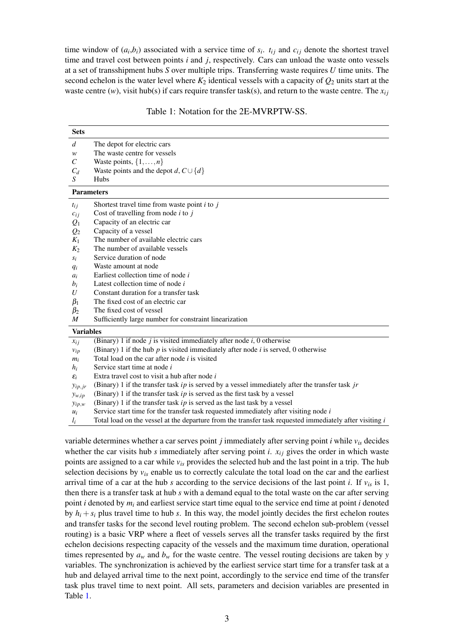time window of  $(a_i, b_i)$  associated with a service time of  $s_i$ .  $t_{ij}$  and  $c_{ij}$  denote the shortest travel time and travel cost between points *i* and *j*, respectively. Cars can unload the waste onto vessels at a set of transshipment hubs *S* over multiple trips. Transferring waste requires *U* time units. The second echelon is the water level where  $K_2$  identical vessels with a capacity of  $Q_2$  units start at the waste centre  $(w)$ , visit hub(s) if cars require transfer task(s), and return to the waste centre. The  $x_{ij}$ 

| Table 1: Notation for the 2E-MVRPTW-SS. |  |  |
|-----------------------------------------|--|--|
|-----------------------------------------|--|--|

<span id="page-2-0"></span>

| <b>Sets</b>       |                                                                                                         |  |  |  |  |  |
|-------------------|---------------------------------------------------------------------------------------------------------|--|--|--|--|--|
| d                 | The depot for electric cars                                                                             |  |  |  |  |  |
| w                 | The waste centre for vessels                                                                            |  |  |  |  |  |
| C                 | Waste points, $\{1, \ldots, n\}$                                                                        |  |  |  |  |  |
| $C_d$             | Waste points and the depot d, $C \cup \{d\}$                                                            |  |  |  |  |  |
| S                 | Hubs                                                                                                    |  |  |  |  |  |
| <b>Parameters</b> |                                                                                                         |  |  |  |  |  |
| $t_{ij}$          | Shortest travel time from waste point $i$ to $j$                                                        |  |  |  |  |  |
| $c_{ij}$          | Cost of travelling from node $i$ to $j$                                                                 |  |  |  |  |  |
| $Q_1$             | Capacity of an electric car                                                                             |  |  |  |  |  |
| $\mathcal{Q}_2$   | Capacity of a vessel                                                                                    |  |  |  |  |  |
| $K_1$             | The number of available electric cars                                                                   |  |  |  |  |  |
| $K_2$             | The number of available vessels                                                                         |  |  |  |  |  |
| $s_i$             | Service duration of node                                                                                |  |  |  |  |  |
| $q_i$             | Waste amount at node                                                                                    |  |  |  |  |  |
| $a_i$             | Earliest collection time of node i                                                                      |  |  |  |  |  |
| $b_i$             | Latest collection time of node i                                                                        |  |  |  |  |  |
| U                 | Constant duration for a transfer task                                                                   |  |  |  |  |  |
| $\beta_1$         | The fixed cost of an electric car                                                                       |  |  |  |  |  |
| $\beta_2$         | The fixed cost of vessel                                                                                |  |  |  |  |  |
| $\boldsymbol{M}$  | Sufficiently large number for constraint linearization                                                  |  |  |  |  |  |
| <b>Variables</b>  |                                                                                                         |  |  |  |  |  |
| $x_{ij}$          | (Binary) 1 if node $j$ is visited immediately after node $i$ , 0 otherwise                              |  |  |  |  |  |
| $v_{ip}$          | (Binary) 1 if the hub $p$ is visited immediately after node $i$ is served, 0 otherwise                  |  |  |  |  |  |
| $m_i$             | Total load on the car after node $i$ is visited                                                         |  |  |  |  |  |
| $h_i$             | Service start time at node <i>i</i>                                                                     |  |  |  |  |  |
| $\varepsilon_i$   | Extra travel cost to visit a hub after node $i$                                                         |  |  |  |  |  |
| $y_{ip,jr}$       | (Binary) 1 if the transfer task $ip$ is served by a vessel immediately after the transfer task $jr$     |  |  |  |  |  |
| $y_{w,ip}$        | (Binary) 1 if the transfer task $ip$ is served as the first task by a vessel                            |  |  |  |  |  |
| $y_{ip,w}$        | (Binary) 1 if the transfer task $ip$ is served as the last task by a vessel                             |  |  |  |  |  |
| $u_i$             | Service start time for the transfer task requested immediately after visiting node $i$                  |  |  |  |  |  |
| $l_i$             | Total load on the vessel at the departure from the transfer task requested immediately after visiting i |  |  |  |  |  |

variable determines whether a car serves point *j* immediately after serving point *i* while *vis* decides whether the car visits hub  $s$  immediately after serving point  $i$ .  $x_{ij}$  gives the order in which waste points are assigned to a car while *vis* provides the selected hub and the last point in a trip. The hub selection decisions by  $v_{is}$  enable us to correctly calculate the total load on the car and the earliest arrival time of a car at the hub *s* according to the service decisions of the last point *i*. If  $v_{is}$  is 1, then there is a transfer task at hub *s* with a demand equal to the total waste on the car after serving point *i* denoted by  $m_i$  and earliest service start time equal to the service end time at point *i* denoted by  $h_i + s_i$  plus travel time to hub *s*. In this way, the model jointly decides the first echelon routes and transfer tasks for the second level routing problem. The second echelon sub-problem (vessel routing) is a basic VRP where a fleet of vessels serves all the transfer tasks required by the first echelon decisions respecting capacity of the vessels and the maximum time duration, operational times represented by  $a_w$  and  $b_w$  for the waste centre. The vessel routing decisions are taken by *y* variables. The synchronization is achieved by the earliest service start time for a transfer task at a hub and delayed arrival time to the next point, accordingly to the service end time of the transfer task plus travel time to next point. All sets, parameters and decision variables are presented in Table [1.](#page-2-0)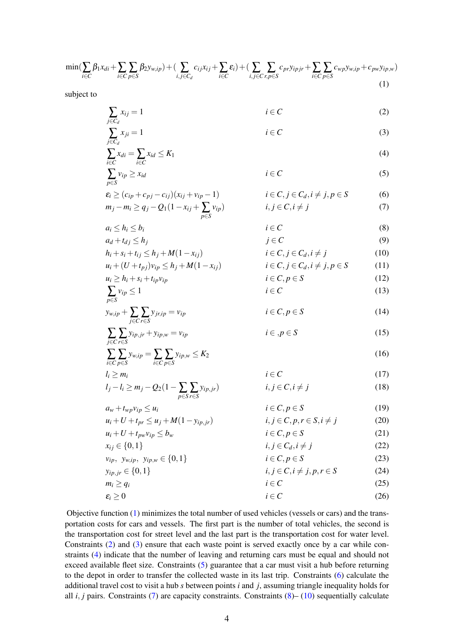<span id="page-3-0"></span>
$$
\min(\sum_{i\in C}\beta_1x_{di}+\sum_{i\in C}\sum_{p\in S}\beta_2y_{w,ip})+(\sum_{i,j\in C_d}c_{ij}x_{ij}+\sum_{i\in C}\varepsilon_i)+(\sum_{i,j\in C}\sum_{r,p\in S}c_{pr}y_{ipjr}+\sum_{i\in C}\sum_{p\in S}c_{wp}y_{w,ip}+c_{pw}y_{ip,w})
$$
\n(1)

subject to

<span id="page-3-10"></span><span id="page-3-9"></span><span id="page-3-8"></span><span id="page-3-7"></span><span id="page-3-6"></span><span id="page-3-5"></span><span id="page-3-4"></span><span id="page-3-3"></span><span id="page-3-2"></span><span id="page-3-1"></span>

| $\sum_{j\in C_d} x_{ij} = 1$                                  | $i \in C$                      | (2)  |
|---------------------------------------------------------------|--------------------------------|------|
| $\sum_{j\in C_d} x_{di} = \sum_{i\in C} x_{id} \leq K_1$      | (4)                            |      |
| $\sum_{j\in C_d} x_{di} = \sum_{i\in C} x_{id} \leq K_1$      | (5)                            |      |
| $\sum_{p\in S} v_{ip} \geq x_{id}$                            | $i \in C$                      | (6)  |
| $\sum_{p\in S} v_{ip} \geq x_{id}$                            | $i \in C$                      | (6)  |
| $m_j - m_i \geq q_j - Q_1(1 - x_{ij} + \sum_{p\in S} v_{ip})$ | $i, j \in C, i \neq j$         | (7)  |
| $a_i \leq h_i \leq b_i$                                       | $i \in C$                      | (8)  |
| $b_i + s_i + t_{ij} \leq h_j + M(1 - x_{ij})$                 | $i \in C, j \in C_d, i \neq j$ | (10) |
| $u_i \geq h_i + s_i + t_{ip}v_{ip}$                           | $i \in C, j \in C_d, i \neq j$ | (11) |
| $u_i \geq h_i + s_i + t_{ip}v_{ip}$                           | $i \in C, p \in S$             | (12) |
| $p_{ij} = 1$                                                  | $i \in C$                      | (13) |
| $y_{ij} = \sum_{j\in C} y_{ij} y_j + y_{ip} w = v_{ip}$       | $i \in C, p \in S$             | (14) |
| <                                                             |                                |      |

Objective function [\(1\)](#page-3-0) minimizes the total number of used vehicles (vessels or cars) and the transportation costs for cars and vessels. The first part is the number of total vehicles, the second is the transportation cost for street level and the last part is the transportation cost for water level. Constraints [\(2\)](#page-3-1) and [\(3\)](#page-3-2) ensure that each waste point is served exactly once by a car while constraints [\(4\)](#page-3-3) indicate that the number of leaving and returning cars must be equal and should not exceed available fleet size. Constraints [\(5\)](#page-3-4) guarantee that a car must visit a hub before returning to the depot in order to transfer the collected waste in its last trip. Constraints [\(6\)](#page-3-5) calculate the additional travel cost to visit a hub *s* between points *i* and *j*, assuming triangle inequality holds for all  $i$ ,  $j$  pairs. Constraints [\(7\)](#page-3-6) are capacity constraints. Constraints [\(8\)](#page-3-7)– [\(10\)](#page-3-8) sequentially calculate

<span id="page-3-19"></span><span id="page-3-18"></span><span id="page-3-17"></span><span id="page-3-16"></span><span id="page-3-15"></span><span id="page-3-14"></span><span id="page-3-13"></span><span id="page-3-12"></span><span id="page-3-11"></span> $\varepsilon_i \geq 0$  *i* ∈ *C* (26)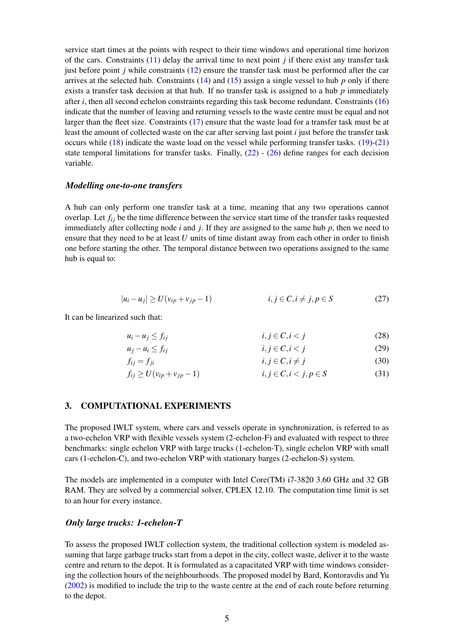service start times at the points with respect to their time windows and operational time horizon of the cars. Constraints [\(11\)](#page-3-9) delay the arrival time to next point *j* if there exist any transfer task just before point *j* while constraints [\(12\)](#page-3-10) ensure the transfer task must be performed after the car arrives at the selected hub. Constraints [\(14\)](#page-3-11) and [\(15\)](#page-3-12) assign a single vessel to hub *p* only if there exists a transfer task decision at that hub. If no transfer task is assigned to a hub *p* immediately after *i*, then all second echelon constraints regarding this task become redundant. Constraints [\(16\)](#page-3-13) indicate that the number of leaving and returning vessels to the waste centre must be equal and not larger than the fleet size. Constraints [\(17\)](#page-3-14) ensure that the waste load for a transfer task must be at least the amount of collected waste on the car after serving last point *i* just before the transfer task occurs while  $(18)$  indicate the waste load on the vessel while performing transfer tasks.  $(19)-(21)$  $(19)-(21)$  $(19)-(21)$ state temporal limitations for transfer tasks. Finally,  $(22)$  -  $(26)$  define ranges for each decision variable.

#### *Modelling one-to-one transfers*

A hub can only perform one transfer task at a time, meaning that any two operations cannot overlap. Let  $f_{ij}$  be the time difference between the service start time of the transfer tasks requested immediately after collecting node *i* and *j*. If they are assigned to the same hub *p*, then we need to ensure that they need to be at least *U* units of time distant away from each other in order to finish one before starting the other. The temporal distance between two operations assigned to the same hub is equal to:

$$
|u_i - u_j| \ge U(v_{ip} + v_{jp} - 1) \qquad i, j \in C, i \ne j, p \in S \tag{27}
$$

It can be linearized such that:

$$
u_i - u_j \le f_{ij} \qquad i, j \in C, i < j \tag{28}
$$

$$
u_j - u_i \le f_{ij} \qquad i, j \in C, i < j \tag{29}
$$

$$
f_{ij} = f_{ji} \qquad i, j \in C, i \neq j \tag{30}
$$

$$
f_{ij} \ge U(\nu_{ip} + \nu_{jp} - 1) \qquad i, j \in C, i < j, p \in S \tag{31}
$$

## <span id="page-4-0"></span>3. COMPUTATIONAL EXPERIMENTS

The proposed IWLT system, where cars and vessels operate in synchronization, is referred to as a two-echelon VRP with flexible vessels system (2-echelon-F) and evaluated with respect to three benchmarks: single echelon VRP with large trucks (1-echelon-T), single echelon VRP with small cars (1-echelon-C), and two-echelon VRP with stationary barges (2-echelon-S) system.

The models are implemented in a computer with Intel Core(TM) i7-3820 3.60 GHz and 32 GB RAM. They are solved by a commercial solver, CPLEX 12.10. The computation time limit is set to an hour for every instance.

## *Only large trucks: 1-echelon-T*

To assess the proposed IWLT collection system, the traditional collection system is modeled assuming that large garbage trucks start from a depot in the city, collect waste, deliver it to the waste centre and return to the depot. It is formulated as a capacitated VRP with time windows considering the collection hours of the neighbourhoods. The proposed model by Bard, Kontoravdis and Yu [\(2002\)](#page-8-11) is modified to include the trip to the waste centre at the end of each route before returning to the depot.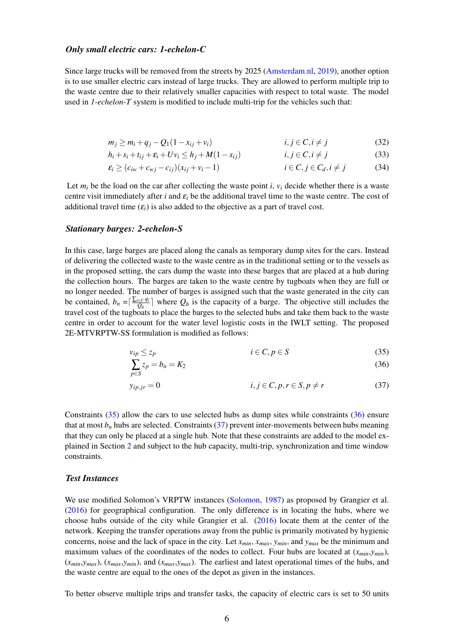#### *Only small electric cars: 1-echelon-C*

Since large trucks will be removed from the streets by 2025 [\(Amsterdam.nl,](#page-8-0) [2019\)](#page-8-0), another option is to use smaller electric cars instead of large trucks. They are allowed to perform multiple trip to the waste centre due to their relatively smaller capacities with respect to total waste. The model used in *1-echelon-T* system is modified to include multi-trip for the vehicles such that:

$$
m_j \ge m_i + q_j - Q_1(1 - x_{ij} + v_i) \qquad i, j \in C, i \ne j \qquad (32)
$$

$$
h_i + s_i + t_{ij} + \varepsilon_i + Uv_i \le h_j + M(1 - x_{ij}) \qquad i, j \in C, i \ne j \qquad (33)
$$

$$
\varepsilon_i \ge (c_{iw} + c_{wj} - c_{ij})(x_{ij} + v_i - 1) \qquad i \in C, j \in C_d, i \ne j \qquad (34)
$$

Let  $m_i$  be the load on the car after collecting the waste point *i*,  $v_i$  decide whether there is a waste centre visit immediately after *i* and  $\varepsilon_i$  be the additional travel time to the waste centre. The cost of additional travel time  $(\varepsilon_i)$  is also added to the objective as a part of travel cost.

#### *Stationary barges: 2-echelon-S*

In this case, large barges are placed along the canals as temporary dump sites for the cars. Instead of delivering the collected waste to the waste centre as in the traditional setting or to the vessels as in the proposed setting, the cars dump the waste into these barges that are placed at a hub during the collection hours. The barges are taken to the waste centre by tugboats when they are full or no longer needed. The number of barges is assigned such that the waste generated in the city can be contained,  $b_n = \left[\frac{\sum_{i \in C} q_i}{Q_b}\right]$  $\left[\frac{\partial e}{\partial b}\right]$  where  $Q_b$  is the capacity of a barge. The objective still includes the travel cost of the tugboats to place the barges to the selected hubs and take them back to the waste centre in order to account for the water level logistic costs in the IWLT setting. The proposed 2E-MTVRPTW-SS formulation is modified as follows:

$$
v_{ip} \le z_p \qquad \qquad i \in C, p \in S \tag{35}
$$

<span id="page-5-2"></span><span id="page-5-1"></span><span id="page-5-0"></span>
$$
\sum_{p \in S} z_p = b_n = K_2 \tag{36}
$$

$$
y_{ip,jr} = 0 \qquad i, j \in C, p, r \in S, p \neq r \qquad (37)
$$

Constraints [\(35\)](#page-5-0) allow the cars to use selected hubs as dump sites while constraints [\(36\)](#page-5-1) ensure that at most  $b_n$  hubs are selected. Constraints [\(37\)](#page-5-2) prevent inter-movements between hubs meaning that they can only be placed at a single hub. Note that these constraints are added to the model explained in Section [2](#page-1-1) and subject to the hub capacity, multi-trip, synchronization and time window constraints.

#### *Test Instances*

We use modified Solomon's VRPTW instances [\(Solomon,](#page-8-10) [1987\)](#page-8-10) as proposed by Grangier et al. [\(2016\)](#page-8-8) for geographical configuration. The only difference is in locating the hubs, where we choose hubs outside of the city while Grangier et al. [\(2016\)](#page-8-8) locate them at the center of the network. Keeping the transfer operations away from the public is primarily motivated by hygienic concerns, noise and the lack of space in the city. Let *xmin*, *xmax*, *ymin*, and *ymax* be the minimum and maximum values of the coordinates of the nodes to collect. Four hubs are located at (*xmin*,*ymin*), (*xmin*,*ymax*), (*xmax*,*ymin*), and (*xmax*,*ymax*). The earliest and latest operational times of the hubs, and the waste centre are equal to the ones of the depot as given in the instances.

To better observe multiple trips and transfer tasks, the capacity of electric cars is set to 50 units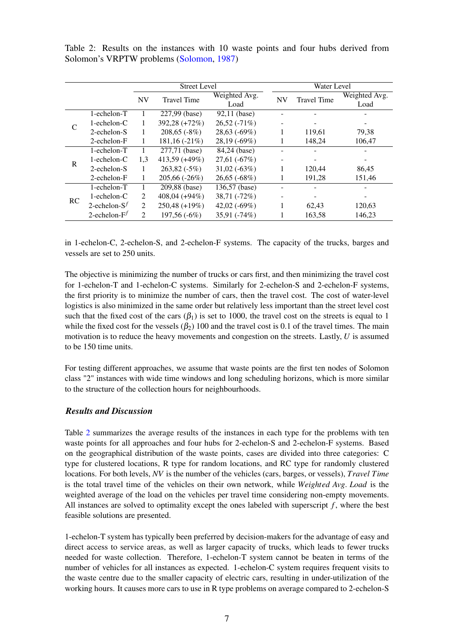<span id="page-6-0"></span>Table 2: Results on the instances with 10 waste points and four hubs derived from Solomon's VRPTW problems [\(Solomon,](#page-8-10) [1987\)](#page-8-10)

|    |                   | <b>Street Level</b> |                    |                       |           | Water Level        |                       |  |
|----|-------------------|---------------------|--------------------|-----------------------|-----------|--------------------|-----------------------|--|
|    |                   | <b>NV</b>           | <b>Travel Time</b> | Weighted Avg.<br>Load | <b>NV</b> | <b>Travel Time</b> | Weighted Avg.<br>Load |  |
|    | 1-echelon-T       |                     | 227,99 (base)      | 92,11 (base)          |           |                    |                       |  |
|    | $1$ -echelon- $C$ |                     | 392,28 (+72%)      | $26,52(-71%)$         |           |                    |                       |  |
|    | 2-echelon-S       |                     | $208,65(-8%)$      | 28,63(.69%)           |           | 119,61             | 79,38                 |  |
|    | $2$ -echelon- $F$ |                     | $181, 16(-21%)$    | 28,19 (-69%)          |           | 148,24             | 106,47                |  |
| R  | 1-echelon-T       |                     | 277,71 (base)      | 84,24 (base)          |           |                    |                       |  |
|    | $1$ -echelon- $C$ | 1,3                 | 413,59 (+49%)      | $27,61(-67%)$         |           |                    |                       |  |
|    | 2-echelon-S       |                     | $263,82(-5%)$      | $31,02(-63%)$         |           | 120,44             | 86,45                 |  |
|    | $2$ -echelon- $F$ | 1                   | $205,66(-26%)$     | $26,65(-68%)$         |           | 191,28             | 151,46                |  |
| RC | 1-echelon-T       |                     | 209,88 (base)      | 136,57 (base)         |           |                    |                       |  |
|    | $1$ -echelon- $C$ | 2                   | $408,04(+94%)$     | $38,71(-72%)$         |           |                    |                       |  |
|    | 2-echelon- $S^f$  | 2                   | $250,48 (+19\%)$   | 42,02 $(-69%)$        |           | 62,43              | 120,63                |  |
|    | 2-echelon- $F^f$  | 2                   | $197,56(-6%)$      | $35,91(-74%)$         |           | 163,58             | 146,23                |  |

in 1-echelon-C, 2-echelon-S, and 2-echelon-F systems. The capacity of the trucks, barges and vessels are set to 250 units.

The objective is minimizing the number of trucks or cars first, and then minimizing the travel cost for 1-echelon-T and 1-echelon-C systems. Similarly for 2-echelon-S and 2-echelon-F systems, the first priority is to minimize the number of cars, then the travel cost. The cost of water-level logistics is also minimized in the same order but relatively less important than the street level cost such that the fixed cost of the cars  $(\beta_1)$  is set to 1000, the travel cost on the streets is equal to 1 while the fixed cost for the vessels  $(\beta_2)$  100 and the travel cost is 0.1 of the travel times. The main motivation is to reduce the heavy movements and congestion on the streets. Lastly, *U* is assumed to be 150 time units.

For testing different approaches, we assume that waste points are the first ten nodes of Solomon class "2" instances with wide time windows and long scheduling horizons, which is more similar to the structure of the collection hours for neighbourhoods.

## *Results and Discussion*

Table [2](#page-6-0) summarizes the average results of the instances in each type for the problems with ten waste points for all approaches and four hubs for 2-echelon-S and 2-echelon-F systems. Based on the geographical distribution of the waste points, cases are divided into three categories: C type for clustered locations, R type for random locations, and RC type for randomly clustered locations. For both levels, *NV* is the number of the vehicles (cars, barges, or vessels), *Travel Time* is the total travel time of the vehicles on their own network, while *Weighted Avg*. *Load* is the weighted average of the load on the vehicles per travel time considering non-empty movements. All instances are solved to optimality except the ones labeled with superscript *f* , where the best feasible solutions are presented.

1-echelon-T system has typically been preferred by decision-makers for the advantage of easy and direct access to service areas, as well as larger capacity of trucks, which leads to fewer trucks needed for waste collection. Therefore, 1-echelon-T system cannot be beaten in terms of the number of vehicles for all instances as expected. 1-echelon-C system requires frequent visits to the waste centre due to the smaller capacity of electric cars, resulting in under-utilization of the working hours. It causes more cars to use in R type problems on average compared to 2-echelon-S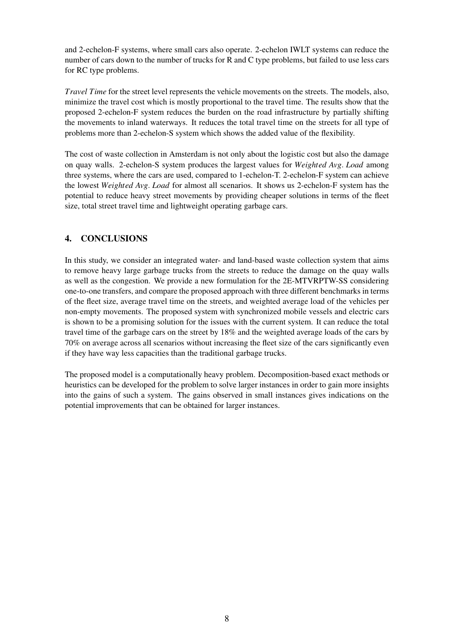and 2-echelon-F systems, where small cars also operate. 2-echelon IWLT systems can reduce the number of cars down to the number of trucks for R and C type problems, but failed to use less cars for RC type problems.

*Travel Time* for the street level represents the vehicle movements on the streets. The models, also, minimize the travel cost which is mostly proportional to the travel time. The results show that the proposed 2-echelon-F system reduces the burden on the road infrastructure by partially shifting the movements to inland waterways. It reduces the total travel time on the streets for all type of problems more than 2-echelon-S system which shows the added value of the flexibility.

The cost of waste collection in Amsterdam is not only about the logistic cost but also the damage on quay walls. 2-echelon-S system produces the largest values for *Weighted Avg*. *Load* among three systems, where the cars are used, compared to 1-echelon-T. 2-echelon-F system can achieve the lowest *Weighted Avg*. *Load* for almost all scenarios. It shows us 2-echelon-F system has the potential to reduce heavy street movements by providing cheaper solutions in terms of the fleet size, total street travel time and lightweight operating garbage cars.

# <span id="page-7-0"></span>4. CONCLUSIONS

In this study, we consider an integrated water- and land-based waste collection system that aims to remove heavy large garbage trucks from the streets to reduce the damage on the quay walls as well as the congestion. We provide a new formulation for the 2E-MTVRPTW-SS considering one-to-one transfers, and compare the proposed approach with three different benchmarks in terms of the fleet size, average travel time on the streets, and weighted average load of the vehicles per non-empty movements. The proposed system with synchronized mobile vessels and electric cars is shown to be a promising solution for the issues with the current system. It can reduce the total travel time of the garbage cars on the street by 18% and the weighted average loads of the cars by 70% on average across all scenarios without increasing the fleet size of the cars significantly even if they have way less capacities than the traditional garbage trucks.

The proposed model is a computationally heavy problem. Decomposition-based exact methods or heuristics can be developed for the problem to solve larger instances in order to gain more insights into the gains of such a system. The gains observed in small instances gives indications on the potential improvements that can be obtained for larger instances.